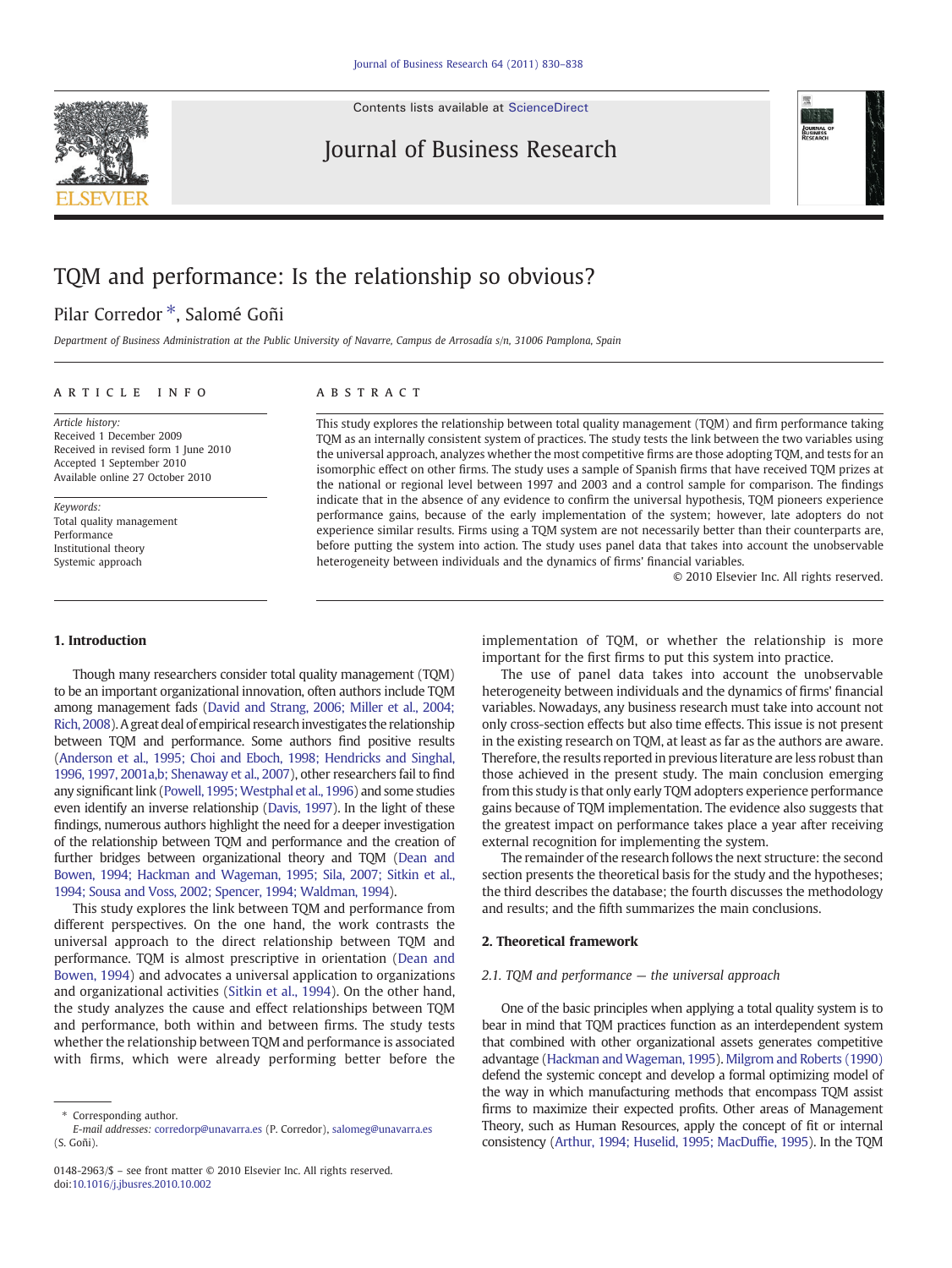Contents lists available at [ScienceDirect](http://www.sciencedirect.com/science/journal/01482963)





## TQM and performance: Is the relationship so obvious?

## Pilar Corredor<sup>\*</sup>, Salomé Goñi

Department of Business Administration at the Public University of Navarre, Campus de Arrosadía s/n, 31006 Pamplona, Spain

#### ARTICLE INFO ABSTRACT

Article history: Received 1 December 2009 Received in revised form 1 June 2010 Accepted 1 September 2010 Available online 27 October 2010

Keywords: Total quality management Performance Institutional theory Systemic approach

This study explores the relationship between total quality management (TQM) and firm performance taking TQM as an internally consistent system of practices. The study tests the link between the two variables using the universal approach, analyzes whether the most competitive firms are those adopting TQM, and tests for an isomorphic effect on other firms. The study uses a sample of Spanish firms that have received TQM prizes at the national or regional level between 1997 and 2003 and a control sample for comparison. The findings indicate that in the absence of any evidence to confirm the universal hypothesis, TQM pioneers experience performance gains, because of the early implementation of the system; however, late adopters do not experience similar results. Firms using a TQM system are not necessarily better than their counterparts are, before putting the system into action. The study uses panel data that takes into account the unobservable heterogeneity between individuals and the dynamics of firms' financial variables.

© 2010 Elsevier Inc. All rights reserved.

### 1. Introduction

Though many researchers consider total quality management (TQM) to be an important organizational innovation, often authors include TQM among management fads [\(David and Strang, 2006; Miller et al., 2004;](#page--1-0) [Rich, 2008](#page--1-0)). A great deal of empirical researchinvestigates the relationship between TQM and performance. Some authors find positive results [\(Anderson et al., 1995; Choi and Eboch, 1998; Hendricks and Singhal,](#page--1-0) [1996, 1997, 2001a,b; Shenaway et al., 2007](#page--1-0)), other researchers fail to find any significant link (Powell, 1995; Westphal et al., 1996) and some studies even identify an inverse relationship ([Davis, 1997](#page--1-0)). In the light of these findings, numerous authors highlight the need for a deeper investigation of the relationship between TQM and performance and the creation of further bridges between organizational theory and TQM [\(Dean and](#page--1-0) [Bowen, 1994; Hackman and Wageman, 1995; Sila, 2007; Sitkin et al.,](#page--1-0) [1994; Sousa and Voss, 2002; Spencer, 1994; Waldman, 1994](#page--1-0)).

This study explores the link between TQM and performance from different perspectives. On the one hand, the work contrasts the universal approach to the direct relationship between TQM and performance. TQM is almost prescriptive in orientation ([Dean and](#page--1-0) [Bowen, 1994](#page--1-0)) and advocates a universal application to organizations and organizational activities [\(Sitkin et al., 1994](#page--1-0)). On the other hand, the study analyzes the cause and effect relationships between TQM and performance, both within and between firms. The study tests whether the relationship between TQM and performance is associated with firms, which were already performing better before the

⁎ Corresponding author.

implementation of TQM, or whether the relationship is more important for the first firms to put this system into practice.

The use of panel data takes into account the unobservable heterogeneity between individuals and the dynamics of firms' financial variables. Nowadays, any business research must take into account not only cross-section effects but also time effects. This issue is not present in the existing research on TQM, at least as far as the authors are aware. Therefore, the results reported in previous literature are less robust than those achieved in the present study. The main conclusion emerging from this study is that only early TQM adopters experience performance gains because of TQM implementation. The evidence also suggests that the greatest impact on performance takes place a year after receiving external recognition for implementing the system.

The remainder of the research follows the next structure: the second section presents the theoretical basis for the study and the hypotheses; the third describes the database; the fourth discusses the methodology and results; and the fifth summarizes the main conclusions.

### 2. Theoretical framework

#### 2.1. TQM and performance — the universal approach

One of the basic principles when applying a total quality system is to bear in mind that TQM practices function as an interdependent system that combined with other organizational assets generates competitive advantage [\(Hackman and Wageman, 1995\)](#page--1-0). [Milgrom and Roberts \(1990\)](#page--1-0) defend the systemic concept and develop a formal optimizing model of the way in which manufacturing methods that encompass TQM assist firms to maximize their expected profits. Other areas of Management Theory, such as Human Resources, apply the concept of fit or internal consistency [\(Arthur, 1994; Huselid, 1995; MacDuf](#page--1-0)fie, 1995). In the TQM

E-mail addresses: [corredorp@unavarra.es](mailto:corredorp@unavarra.es) (P. Corredor), [salomeg@unavarra.es](mailto:salomeg@unavarra.es) (S. Goñi).

<sup>0148-2963/\$</sup> – see front matter © 2010 Elsevier Inc. All rights reserved. doi[:10.1016/j.jbusres.2010.10.002](http://dx.doi.org/10.1016/j.jbusres.2010.10.002)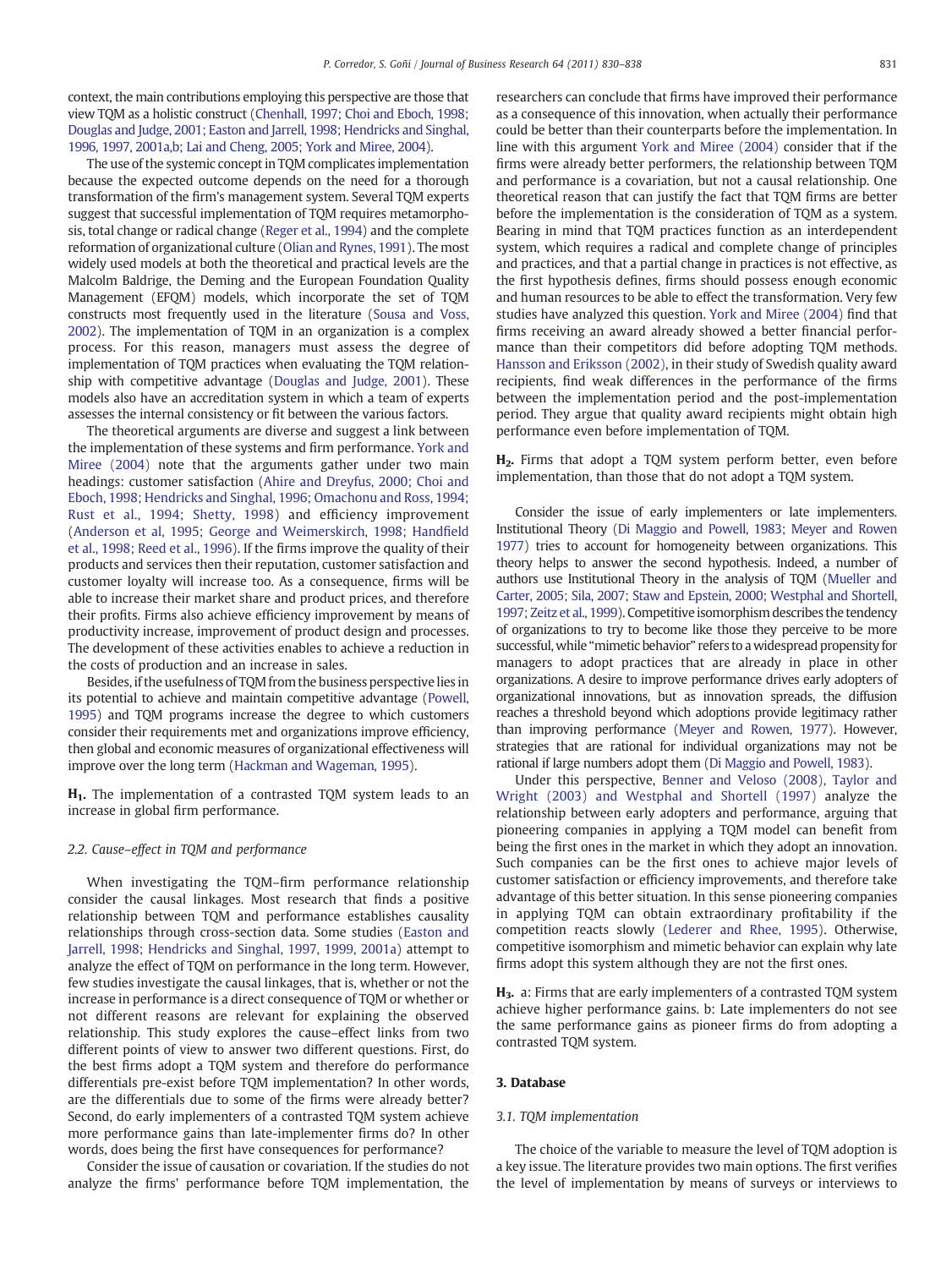context, the main contributions employing this perspective are those that view TQM as a holistic construct [\(Chenhall, 1997; Choi and Eboch, 1998;](#page--1-0) [Douglas and Judge, 2001; Easton and Jarrell, 1998; Hendricks and Singhal,](#page--1-0) [1996, 1997, 2001a,b; Lai and Cheng, 2005; York and Miree, 2004](#page--1-0)).

The use of the systemic concept in TQM complicates implementation because the expected outcome depends on the need for a thorough transformation of the firm's management system. Several TQM experts suggest that successful implementation of TQM requires metamorphosis, total change or radical change [\(Reger et al., 1994\)](#page--1-0) and the complete reformation of organizational culture [\(Olian and Rynes, 1991](#page--1-0)). The most widely used models at both the theoretical and practical levels are the Malcolm Baldrige, the Deming and the European Foundation Quality Management (EFQM) models, which incorporate the set of TQM constructs most frequently used in the literature ([Sousa and Voss,](#page--1-0) [2002](#page--1-0)). The implementation of TQM in an organization is a complex process. For this reason, managers must assess the degree of implementation of TQM practices when evaluating the TQM relationship with competitive advantage [\(Douglas and Judge, 2001](#page--1-0)). These models also have an accreditation system in which a team of experts assesses the internal consistency or fit between the various factors.

The theoretical arguments are diverse and suggest a link between the implementation of these systems and firm performance. [York and](#page--1-0) [Miree \(2004\)](#page--1-0) note that the arguments gather under two main headings: customer satisfaction [\(Ahire and Dreyfus, 2000; Choi and](#page--1-0) [Eboch, 1998; Hendricks and Singhal, 1996; Omachonu and Ross, 1994;](#page--1-0) [Rust et al., 1994; Shetty, 1998\)](#page--1-0) and efficiency improvement [\(Anderson et al, 1995; George and Weimerskirch, 1998; Hand](#page--1-0)field [et al., 1998; Reed et al., 1996](#page--1-0)). If the firms improve the quality of their products and services then their reputation, customer satisfaction and customer loyalty will increase too. As a consequence, firms will be able to increase their market share and product prices, and therefore their profits. Firms also achieve efficiency improvement by means of productivity increase, improvement of product design and processes. The development of these activities enables to achieve a reduction in the costs of production and an increase in sales.

Besides, if the usefulness of TQM from the business perspective lies in its potential to achieve and maintain competitive advantage ([Powell,](#page--1-0) [1995](#page--1-0)) and TQM programs increase the degree to which customers consider their requirements met and organizations improve efficiency, then global and economic measures of organizational effectiveness will improve over the long term ([Hackman and Wageman, 1995\)](#page--1-0).

H<sub>1</sub>. The implementation of a contrasted TQM system leads to an increase in global firm performance.

#### 2.2. Cause–effect in TQM and performance

When investigating the TQM–firm performance relationship consider the causal linkages. Most research that finds a positive relationship between TQM and performance establishes causality relationships through cross-section data. Some studies ([Easton and](#page--1-0) [Jarrell, 1998; Hendricks and Singhal, 1997, 1999, 2001a](#page--1-0)) attempt to analyze the effect of TQM on performance in the long term. However, few studies investigate the causal linkages, that is, whether or not the increase in performance is a direct consequence of TQM or whether or not different reasons are relevant for explaining the observed relationship. This study explores the cause–effect links from two different points of view to answer two different questions. First, do the best firms adopt a TQM system and therefore do performance differentials pre-exist before TQM implementation? In other words, are the differentials due to some of the firms were already better? Second, do early implementers of a contrasted TQM system achieve more performance gains than late-implementer firms do? In other words, does being the first have consequences for performance?

Consider the issue of causation or covariation. If the studies do not analyze the firms' performance before TQM implementation, the

researchers can conclude that firms have improved their performance as a consequence of this innovation, when actually their performance could be better than their counterparts before the implementation. In line with this argument [York and Miree \(2004\)](#page--1-0) consider that if the firms were already better performers, the relationship between TQM and performance is a covariation, but not a causal relationship. One theoretical reason that can justify the fact that TQM firms are better before the implementation is the consideration of TQM as a system. Bearing in mind that TQM practices function as an interdependent system, which requires a radical and complete change of principles and practices, and that a partial change in practices is not effective, as the first hypothesis defines, firms should possess enough economic and human resources to be able to effect the transformation. Very few studies have analyzed this question. [York and Miree \(2004\)](#page--1-0) find that firms receiving an award already showed a better financial performance than their competitors did before adopting TQM methods. [Hansson and Eriksson \(2002\),](#page--1-0) in their study of Swedish quality award recipients, find weak differences in the performance of the firms between the implementation period and the post-implementation period. They argue that quality award recipients might obtain high performance even before implementation of TQM.

H2. Firms that adopt a TQM system perform better, even before implementation, than those that do not adopt a TQM system.

Consider the issue of early implementers or late implementers. Institutional Theory ([Di Maggio and Powell, 1983; Meyer and Rowen](#page--1-0) [1977\)](#page--1-0) tries to account for homogeneity between organizations. This theory helps to answer the second hypothesis. Indeed, a number of authors use Institutional Theory in the analysis of TQM [\(Mueller and](#page--1-0) [Carter, 2005; Sila, 2007; Staw and Epstein, 2000; Westphal and Shortell,](#page--1-0) [1997; Zeitz et al., 1999](#page--1-0)). Competitive isomorphism describes the tendency of organizations to try to become like those they perceive to be more successful, while "mimetic behavior" refers to a widespread propensity for managers to adopt practices that are already in place in other organizations. A desire to improve performance drives early adopters of organizational innovations, but as innovation spreads, the diffusion reaches a threshold beyond which adoptions provide legitimacy rather than improving performance [\(Meyer and Rowen, 1977](#page--1-0)). However, strategies that are rational for individual organizations may not be rational if large numbers adopt them [\(Di Maggio and Powell, 1983\)](#page--1-0).

Under this perspective, [Benner and Veloso \(2008\), Taylor and](#page--1-0) [Wright \(2003\) and Westphal and Shortell \(1997\)](#page--1-0) analyze the relationship between early adopters and performance, arguing that pioneering companies in applying a TQM model can benefit from being the first ones in the market in which they adopt an innovation. Such companies can be the first ones to achieve major levels of customer satisfaction or efficiency improvements, and therefore take advantage of this better situation. In this sense pioneering companies in applying TQM can obtain extraordinary profitability if the competition reacts slowly [\(Lederer and Rhee, 1995](#page--1-0)). Otherwise, competitive isomorphism and mimetic behavior can explain why late firms adopt this system although they are not the first ones.

H3. a: Firms that are early implementers of a contrasted TQM system achieve higher performance gains. b: Late implementers do not see the same performance gains as pioneer firms do from adopting a contrasted TQM system.

#### 3. Database

#### 3.1. TQM implementation

The choice of the variable to measure the level of TQM adoption is a key issue. The literature provides two main options. The first verifies the level of implementation by means of surveys or interviews to